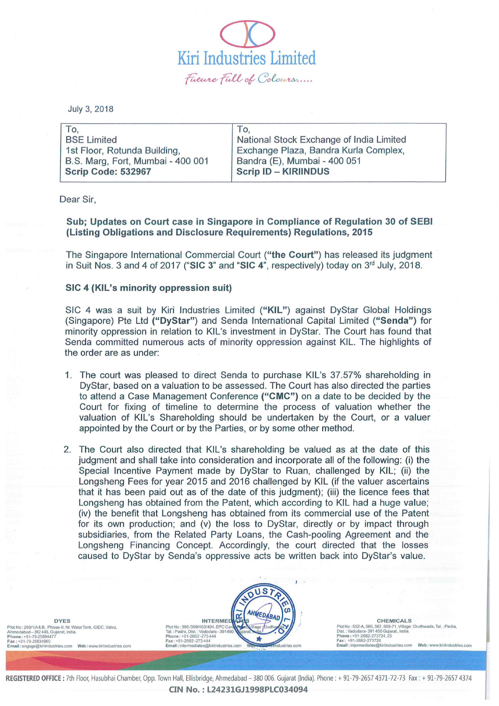$\bigcirc$ Kiri Industries Limited Future Full of Colours.....

July 3,2018

| To,                               | To.                                      |
|-----------------------------------|------------------------------------------|
| <b>BSE Limited</b>                | National Stock Exchange of India Limited |
| 1st Floor, Rotunda Building,      | Exchange Plaza, Bandra Kurla Complex,    |
| B.S. Marg, Fort, Mumbai - 400 001 | Bandra (E), Mumbai - 400 051             |
| <b>Scrip Code: 532967</b>         | <b>Scrip ID - KIRIINDUS</b>              |
|                                   |                                          |

Dear Sir,

## Sub; Updates on Court case in Singapore in Compliance of Regulation 30 of SEBI (Listing Obligations and Disclosure Requirements) Regulations, 2015

The Singapore International Commercial Court ("the Court") has released its judgment in Suit Nos. 3 and 4 of 2017 ("SIC 3" and "SIC 4", respectively) today on  $3<sup>rd</sup>$  July, 2018.

## SIC 4 (KIL's minority oppression suit)

SIC 4 was a suit by Kiri Industries Limited ("KIL") against DyStar Global Holdings (Singapore) Pte Ltd (" DyStar") and Senda International Capital Limited ("Senda") for minority oppression in relation to KIL's investment in DyStar. The Court has found that Senda committed numerous acts of minority oppression against KIL. The highlights of the order are as under:

- 1. The court was pleased to direct Senda to purchase KIL's 37.57% shareholding in DyStar, based on a valuation to be assessed. The Court has also directed the parties to attend a Case Management Conference (" CMC") on a date to be decided by the Court for fixing of timeline to determine the process of valuation whether the valuation of KIL's Shareholding should be undertaken by the Court, or a valuer appointed by the Court or by the Parties, or by some other method.
- 2. The Court also directed that KIL's shareholding be valued as at the date of this judgment and shall take into consideration and incorporate all of the following: (i) the Special Incentive Payment made by DyStar to Ruan, challenged by KIL; (ii) the Longsheng Fees for year 2015 and 2016 challenged by KIL (if the valuer ascertains that it has been paid out as of the date of this judgment); (iii) the licence fees that Longsheng has obtained from the Patent, which according to KIL had a huge value; (iv) the benefit that Longsheng has obtained from its commercial use of the Patent for its own production; and (v) the loss to DyStar, directly or by impact through subsidiaries, from the Related Party Loans, the Cash-pooling Agreement and the Longsheng Financing Concept. Accordingly, the court directed that the losses caused to DyStar by Senda's oppressive acts be written back into DyStar's value.

Plot No : 299/1/A& B, Phase-II, Nr. Water Tank, GIDC, Vatva,<br>Ahmedabad – 382 445, Gujarat, India.<br>Phone : +91-79-25894477<br>Fax : +91-79-25834960



Fax :<br>Ema